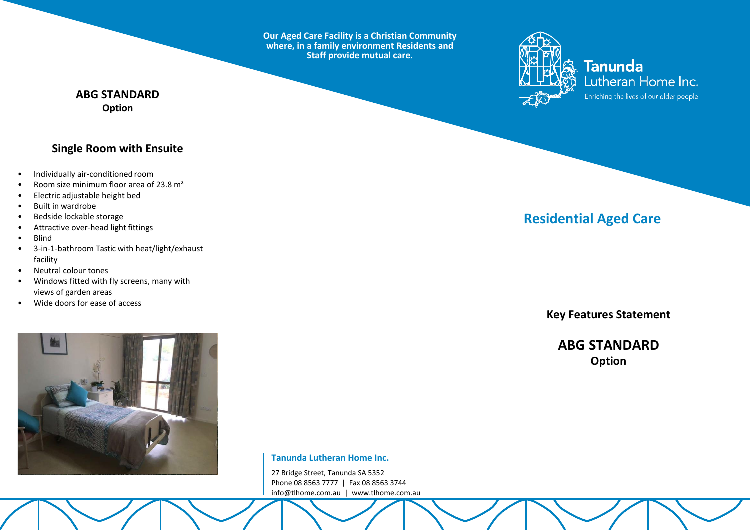**Our Aged Care Facility is a Christian Community where, in a family environment Residents and Staff provide mutual care.**



**Tanunda** Lutheran Home Inc. Enriching the lives of our older people

## **ABG STANDARD Option**

# **Single Room with Ensuite**

- Individually air-conditioned room
- Room size minimum floor area of 23.8 m²
- Electric adjustable height bed
- Built in wardrobe
- Bedside lockable storage
- Attractive over-head light fittings
- Blind
- 3-in-1-bathroom Tastic with heat/light/exhaust facility
- Neutral colour tones
- Windows fitted with fly screens, many with views of garden areas
- Wide doors for ease of access



**Tanunda Lutheran Home Inc.**

27 Bridge Street, Tanunda SA 5352 Phone 08 8563 7777 | Fax 08 8563 3744 [info@tlhome.com.au](mailto:info@tlhome.com.au) | [www.tlhome.com.au](http://www.tlhome.com.au/)

# **Residential Aged Care**

**Key Features Statement**

**ABG STANDARD Option**